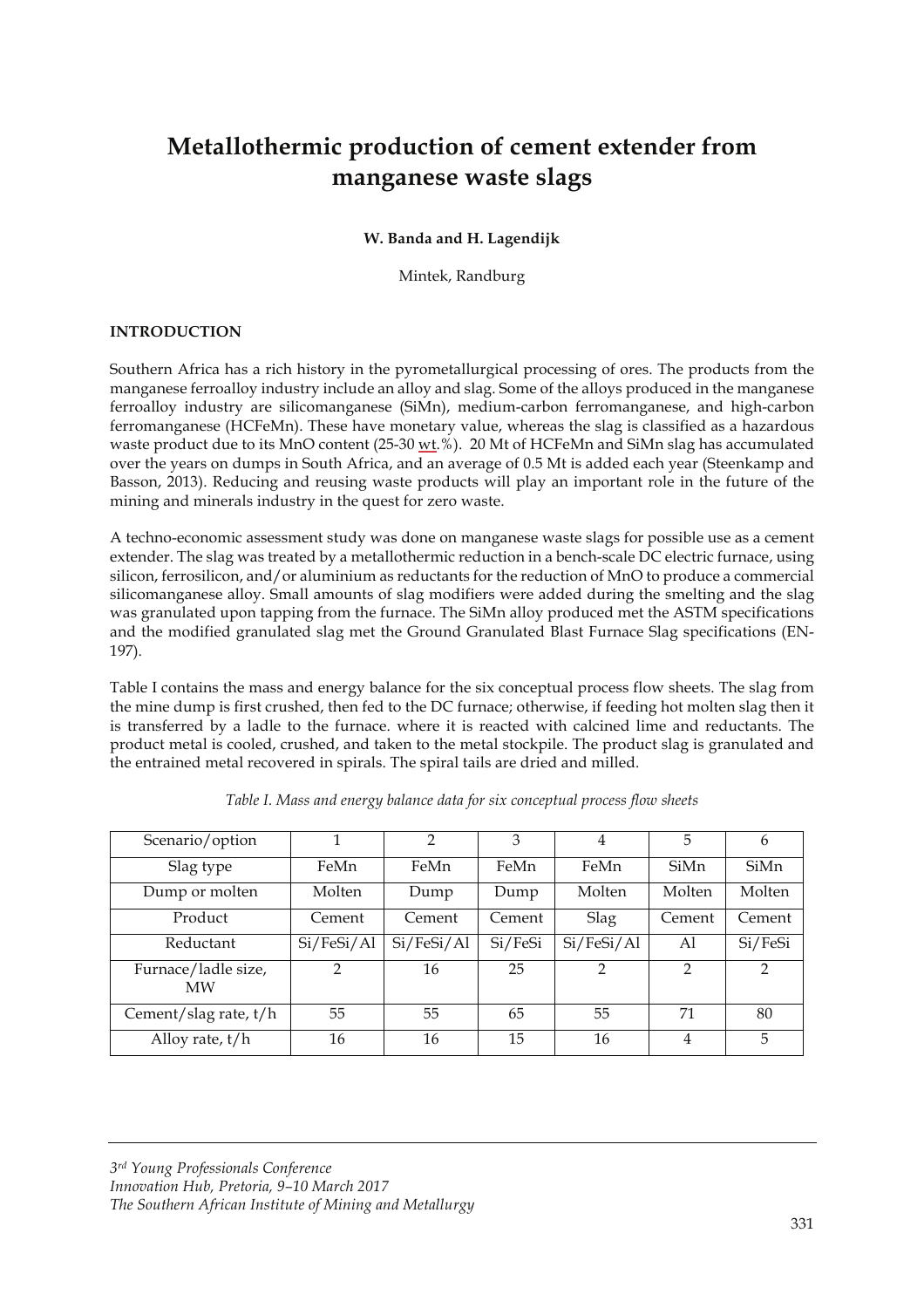# **Metallothermic production of cement extender from manganese waste slags**

#### **W. Banda and H. Lagendijk**

Mintek, Randburg

## **INTRODUCTION**

Southern Africa has a rich history in the pyrometallurgical processing of ores. The products from the manganese ferroalloy industry include an alloy and slag. Some of the alloys produced in the manganese ferroalloy industry are silicomanganese (SiMn), medium-carbon ferromanganese, and high-carbon ferromanganese (HCFeMn). These have monetary value, whereas the slag is classified as a hazardous waste product due to its MnO content (25-30  $\underline{wt}$ .%). 20 Mt of HCFeMn and SiMn slag has accumulated over the years on dumps in South Africa, and an average of 0.5 Mt is added each year (Steenkamp and Basson, 2013). Reducing and reusing waste products will play an important role in the future of the mining and minerals industry in the quest for zero waste.

A techno-economic assessment study was done on manganese waste slags for possible use as a cement extender. The slag was treated by a metallothermic reduction in a bench-scale DC electric furnace, using silicon, ferrosilicon, and/or aluminium as reductants for the reduction of MnO to produce a commercial silicomanganese alloy. Small amounts of slag modifiers were added during the smelting and the slag was granulated upon tapping from the furnace. The SiMn alloy produced met the ASTM specifications and the modified granulated slag met the Ground Granulated Blast Furnace Slag specifications (EN-197).

Table I contains the mass and energy balance for the six conceptual process flow sheets. The slag from the mine dump is first crushed, then fed to the DC furnace; otherwise, if feeding hot molten slag then it is transferred by a ladle to the furnace. where it is reacted with calcined lime and reductants. The product metal is cooled, crushed, and taken to the metal stockpile. The product slag is granulated and the entrained metal recovered in spirals. The spiral tails are dried and milled.

| Scenario/option                  | 1          | 2          | 3       | 4             | 5      | 6       |
|----------------------------------|------------|------------|---------|---------------|--------|---------|
| Slag type                        | FeMn       | FeMn       | FeMn    | FeMn          | SiMn   | SiMn    |
| Dump or molten                   | Molten     | Dump       | Dump    | Molten        | Molten | Molten  |
| Product                          | Cement     | Cement     | Cement  | Slag          | Cement | Cement  |
| Reductant                        | Si/FeSi/Al | Si/FeSi/Al | Si/FeSi | Si/FeSi/Al    | A1     | Si/FeSi |
| Furnace/ladle size,<br><b>MW</b> | 2          | 16         | 25      | $\mathcal{P}$ | 2      | 2       |
| Cement/slag rate, t/h            | 55         | 55         | 65      | 55            | 71     | 80      |
| Alloy rate, $t/h$                | 16         | 16         | 15      | 16            | 4      | 5       |

*3rd Young Professionals Conference Innovation Hub, Pretoria, 9–10 March 2017 The Southern African Institute of Mining and Metallurgy*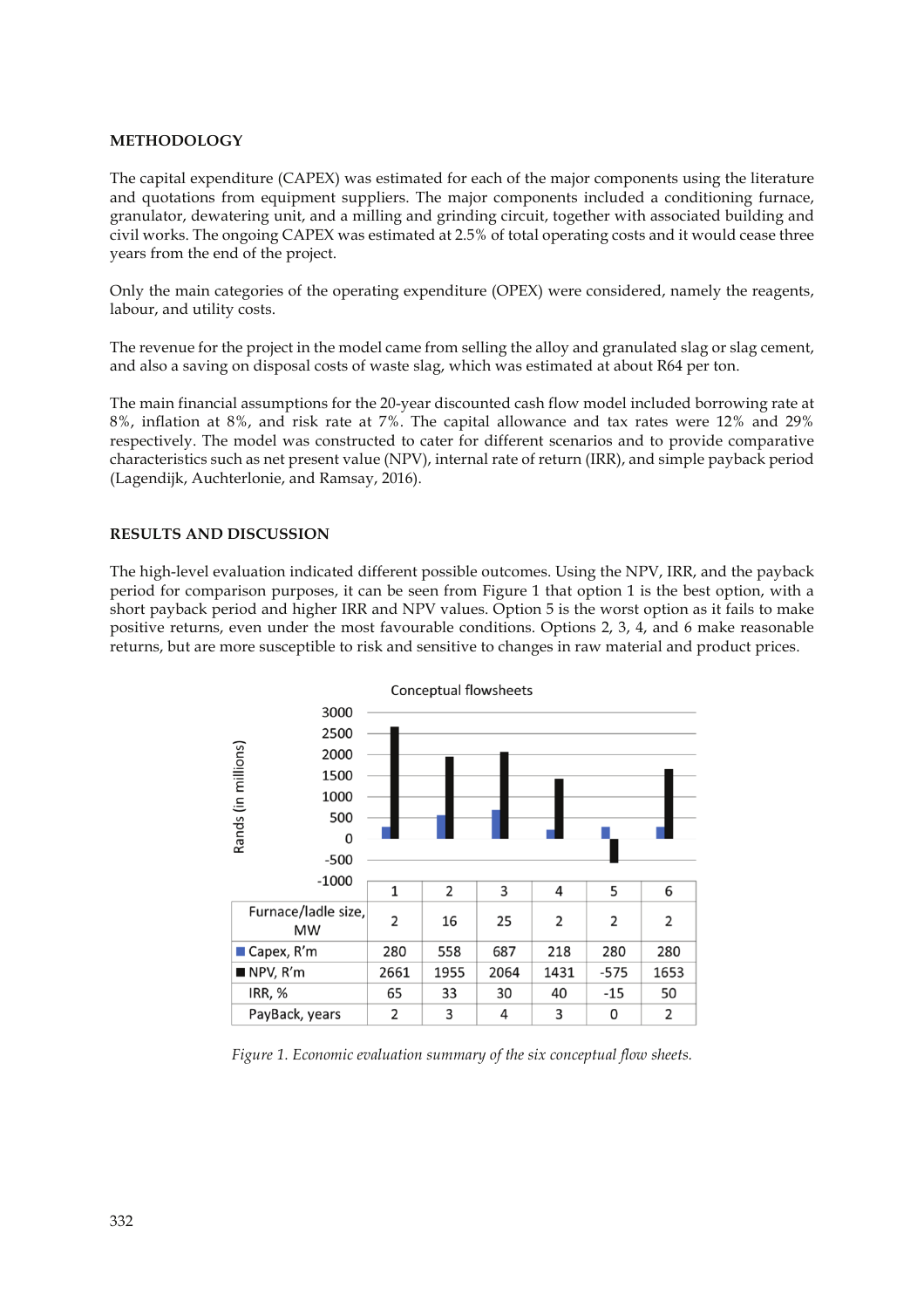### **METHODOLOGY**

The capital expenditure (CAPEX) was estimated for each of the major components using the literature and quotations from equipment suppliers. The major components included a conditioning furnace, granulator, dewatering unit, and a milling and grinding circuit, together with associated building and civil works. The ongoing CAPEX was estimated at 2.5% of total operating costs and it would cease three years from the end of the project.

Only the main categories of the operating expenditure (OPEX) were considered, namely the reagents, labour, and utility costs.

The revenue for the project in the model came from selling the alloy and granulated slag or slag cement, and also a saving on disposal costs of waste slag, which was estimated at about R64 per ton.

The main financial assumptions for the 20-year discounted cash flow model included borrowing rate at 8%, inflation at 8%, and risk rate at 7%. The capital allowance and tax rates were 12% and 29% respectively. The model was constructed to cater for different scenarios and to provide comparative characteristics such as net present value (NPV), internal rate of return (IRR), and simple payback period (Lagendijk, Auchterlonie, and Ramsay, 2016).

### **RESULTS AND DISCUSSION**

The high-level evaluation indicated different possible outcomes. Using the NPV, IRR, and the payback period for comparison purposes, it can be seen from Figure 1 that option 1 is the best option, with a short payback period and higher IRR and NPV values. Option 5 is the worst option as it fails to make positive returns, even under the most favourable conditions. Options 2, 3, 4, and 6 make reasonable returns, but are more susceptible to risk and sensitive to changes in raw material and product prices.



*Figure 1. Economic evaluation summary of the six conceptual flow sheets.*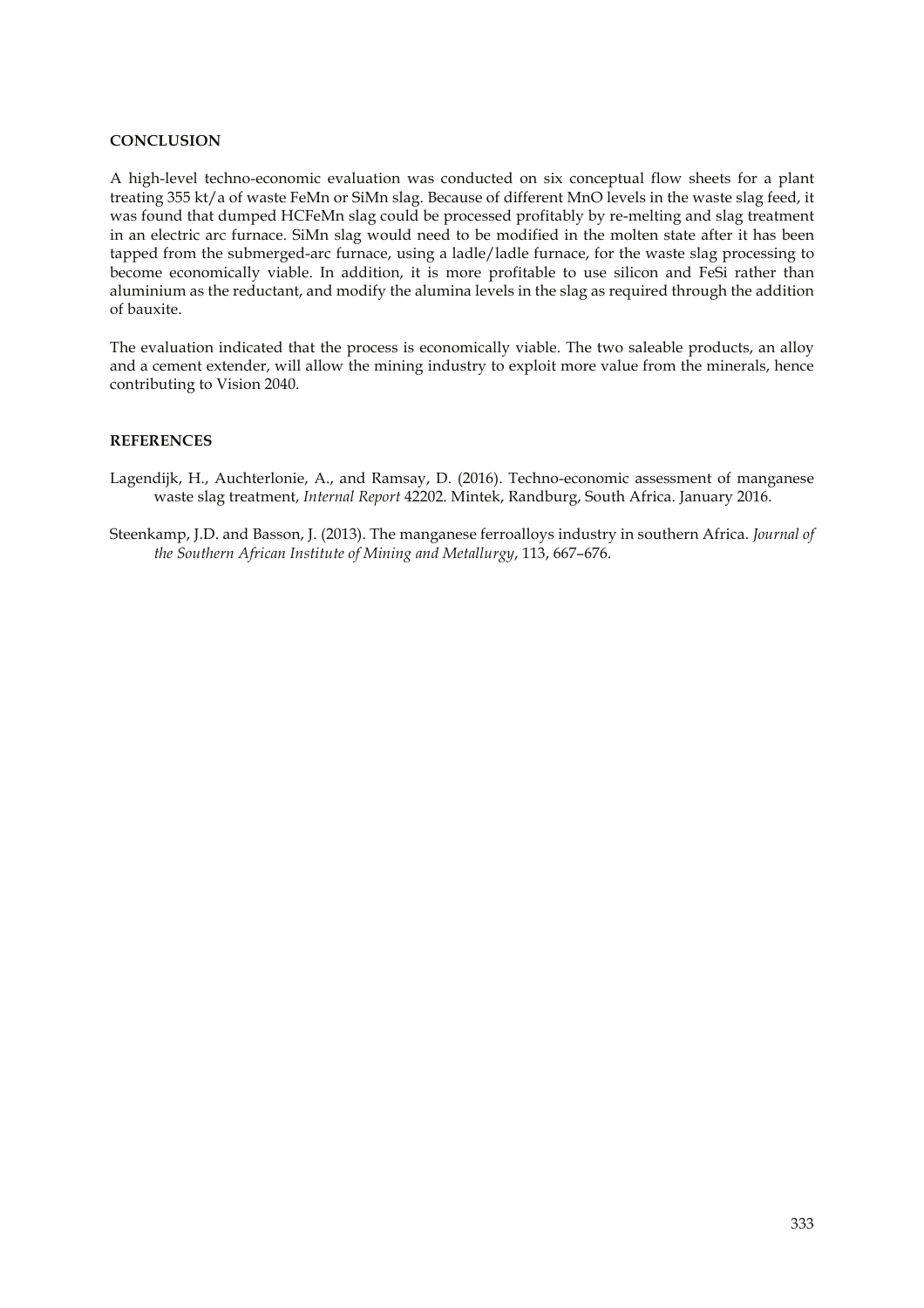## **CONCLUSION**

A high-level techno-economic evaluation was conducted on six conceptual flow sheets for a plant treating 355 kt/a of waste FeMn or SiMn slag. Because of different MnO levels in the waste slag feed, it was found that dumped HCFeMn slag could be processed profitably by re-melting and slag treatment in an electric arc furnace. SiMn slag would need to be modified in the molten state after it has been tapped from the submerged-arc furnace, using a ladle/ladle furnace, for the waste slag processing to become economically viable. In addition, it is more profitable to use silicon and FeSi rather than aluminium as the reductant, and modify the alumina levels in the slag as required through the addition of bauxite.

The evaluation indicated that the process is economically viable. The two saleable products, an alloy and a cement extender, will allow the mining industry to exploit more value from the minerals, hence contributing to Vision 2040.

#### **REFERENCES**

- Lagendijk, H., Auchterlonie, A., and Ramsay, D. (2016). Techno-economic assessment of manganese waste slag treatment, *Internal Report* 42202. Mintek, Randburg, South Africa. January 2016.
- Steenkamp, J.D. and Basson, J. (2013). The manganese ferroalloys industry in southern Africa. *Journal of the Southern African Institute of Mining and Metallurgy*, 113, 667–676.